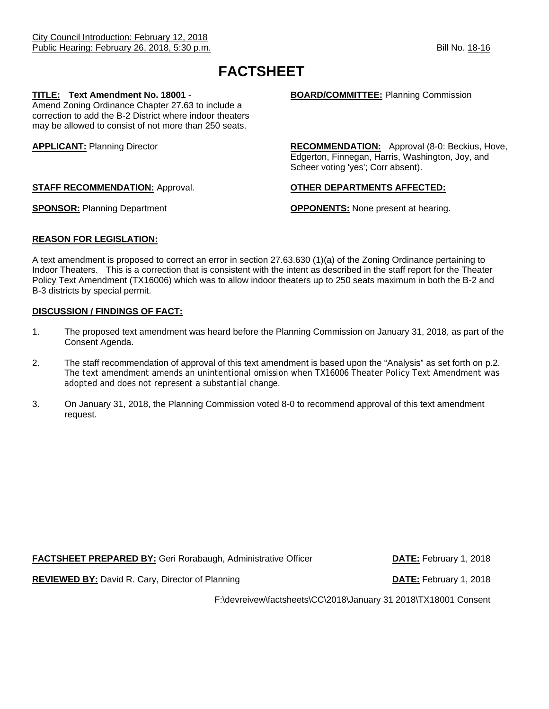# **FACTSHEET**

Amend Zoning Ordinance Chapter 27.63 to include a correction to add the B-2 District where indoor theaters may be allowed to consist of not more than 250 seats.

**TITLE:** Text Amendment No. 18001 - **BOARD/COMMITTEE:** Planning Commission

**APPLICANT:** Planning Director **RECOMMENDATION:** Approval (8-0: Beckius, Hove, Edgerton, Finnegan, Harris, Washington, Joy, and Scheer voting 'yes'; Corr absent).

**SPONSOR:** Planning Department **COPPONENTS:** None present at hearing.

# **STAFF RECOMMENDATION:** Approval. **OTHER DEPARTMENTS AFFECTED:**

**REASON FOR LEGISLATION:**

A text amendment is proposed to correct an error in section 27.63.630 (1)(a) of the Zoning Ordinance pertaining to Indoor Theaters. This is a correction that is consistent with the intent as described in the staff report for the Theater Policy Text Amendment (TX16006) which was to allow indoor theaters up to 250 seats maximum in both the B-2 and B-3 districts by special permit.

# **DISCUSSION / FINDINGS OF FACT:**

- 1. The proposed text amendment was heard before the Planning Commission on January 31, 2018, as part of the Consent Agenda.
- 2. The staff recommendation of approval of this text amendment is based upon the "Analysis" as set forth on p.2. The text amendment amends an unintentional omission when TX16006 Theater Policy Text Amendment was adopted and does not represent a substantial change.
- 3. On January 31, 2018, the Planning Commission voted 8-0 to recommend approval of this text amendment request.

**FACTSHEET PREPARED BY:** Geri Rorabaugh, Administrative Officer **DATE:** February 1, 2018 **REVIEWED BY:** David R. Cary, Director of Planning **DATE:** February 1, 2018

F:\devreivew\factsheets\CC\2018\January 31 2018\TX18001 Consent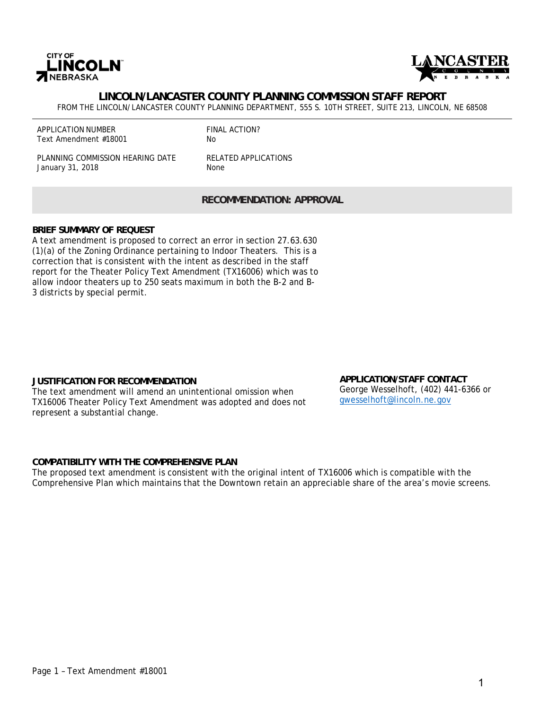



# **LINCOLN/LANCASTER COUNTY PLANNING COMMISSION STAFF REPORT**

FROM THE LINCOLN/LANCASTER COUNTY PLANNING DEPARTMENT, 555 S. 10TH STREET, SUITE 213, LINCOLN, NE 68508

APPLICATION NUMBER Text Amendment #18001

FINAL ACTION? No

PLANNING COMMISSION HEARING DATE January 31, 2018

RELATED APPLICATIONS None

**RECOMMENDATION: APPROVAL** 

### **BRIEF SUMMARY OF REQUEST**

A text amendment is proposed to correct an error in section 27.63.630 (1)(a) of the Zoning Ordinance pertaining to Indoor Theaters. This is a correction that is consistent with the intent as described in the staff report for the Theater Policy Text Amendment (TX16006) which was to allow indoor theaters up to 250 seats maximum in both the B-2 and B-3 districts by special permit.

### **JUSTIFICATION FOR RECOMMENDATION**

The text amendment will amend an unintentional omission when TX16006 Theater Policy Text Amendment was adopted and does not represent a substantial change.

**APPLICATION/STAFF CONTACT** George Wesselhoft, (402) 441-6366 or gwesselhoft@lincoln.ne.gov

### **COMPATIBILITY WITH THE COMPREHENSIVE PLAN**

The proposed text amendment is consistent with the original intent of TX16006 which is compatible with the Comprehensive Plan which maintains that the Downtown retain an appreciable share of the area's movie screens.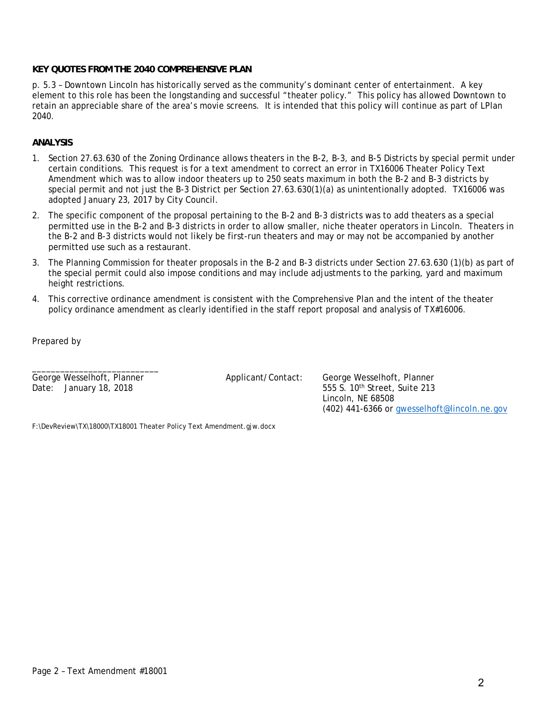## **KEY QUOTES FROM THE 2040 COMPREHENSIVE PLAN**

p. 5.3 – Downtown Lincoln has historically served as the community's dominant center of entertainment. A key element to this role has been the longstanding and successful "theater policy." This policy has allowed Downtown to retain an appreciable share of the area's movie screens. It is intended that this policy will continue as part of LPlan 2040.

## **ANALYSIS**

- 1. Section 27.63.630 of the Zoning Ordinance allows theaters in the B-2, B-3, and B-5 Districts by special permit under certain conditions. This request is for a text amendment to correct an error in TX16006 Theater Policy Text Amendment which was to allow indoor theaters up to 250 seats maximum in both the B-2 and B-3 districts by special permit and not just the B-3 District per Section 27.63.630(1)(a) as unintentionally adopted. TX16006 was adopted January 23, 2017 by City Council.
- 2. The specific component of the proposal pertaining to the B-2 and B-3 districts was to add theaters as a special permitted use in the B-2 and B-3 districts in order to allow smaller, niche theater operators in Lincoln. Theaters in the B-2 and B-3 districts would not likely be first-run theaters and may or may not be accompanied by another permitted use such as a restaurant.
- 3. The Planning Commission for theater proposals in the B-2 and B-3 districts under Section 27.63.630 (1)(b) as part of the special permit could also impose conditions and may include adjustments to the parking, yard and maximum height restrictions.
- 4. This corrective ordinance amendment is consistent with the Comprehensive Plan and the intent of the theater policy ordinance amendment as clearly identified in the staff report proposal and analysis of TX#16006.

Prepared by

George Wesselhoft, Planner Applicant/Contact: George Wesselhoft, Planner

\_\_\_\_\_\_\_\_\_\_\_\_\_\_\_\_\_\_\_\_\_\_\_\_\_\_\_

Date: January 18, 2018 **555 S.** 10<sup>th</sup> Street, Suite 213 Lincoln, NE 68508 (402) 441-6366 or gwesselhoft@lincoln.ne.gov

F:\DevReview\TX\18000\TX18001 Theater Policy Text Amendment.gjw.docx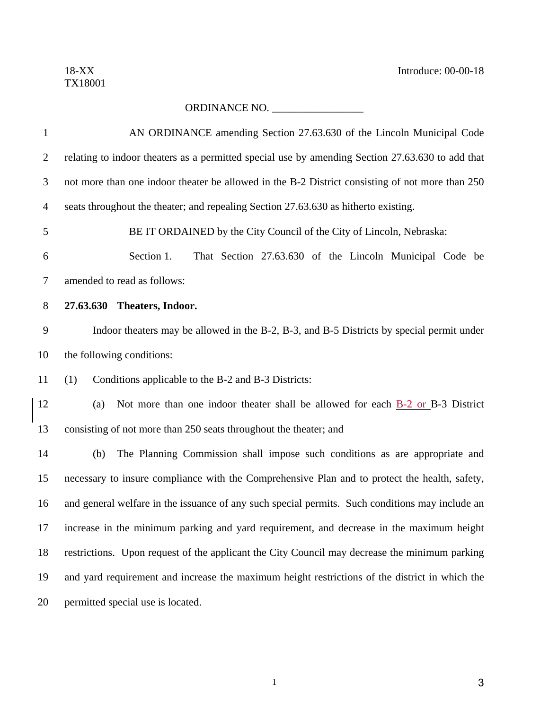# ORDINANCE NO. \_\_\_\_\_\_\_\_\_\_\_\_\_\_\_\_\_

| $\mathbf{1}$   | AN ORDINANCE amending Section 27.63.630 of the Lincoln Municipal Code                               |  |  |
|----------------|-----------------------------------------------------------------------------------------------------|--|--|
| $\overline{2}$ | relating to indoor theaters as a permitted special use by amending Section 27.63.630 to add that    |  |  |
| 3              | not more than one indoor theater be allowed in the B-2 District consisting of not more than 250     |  |  |
| $\overline{4}$ | seats throughout the theater; and repealing Section 27.63.630 as hitherto existing.                 |  |  |
| 5              | BE IT ORDAINED by the City Council of the City of Lincoln, Nebraska:                                |  |  |
| 6              | Section 1.<br>That Section 27.63.630 of the Lincoln Municipal Code be                               |  |  |
| $\tau$         | amended to read as follows:                                                                         |  |  |
| $8\,$          | 27.63.630 Theaters, Indoor.                                                                         |  |  |
| 9              | Indoor theaters may be allowed in the B-2, B-3, and B-5 Districts by special permit under           |  |  |
| 10             | the following conditions:                                                                           |  |  |
| 11             | Conditions applicable to the B-2 and B-3 Districts:<br>(1)                                          |  |  |
| 12             | Not more than one indoor theater shall be allowed for each <b>B-2</b> or <b>B-3</b> District<br>(a) |  |  |
| 13             | consisting of not more than 250 seats throughout the theater; and                                   |  |  |
| 14             | The Planning Commission shall impose such conditions as are appropriate and<br>(b)                  |  |  |
| 15             | necessary to insure compliance with the Comprehensive Plan and to protect the health, safety,       |  |  |
| 16             | and general welfare in the issuance of any such special permits. Such conditions may include an     |  |  |
| 17             | increase in the minimum parking and yard requirement, and decrease in the maximum height            |  |  |
| 18             | restrictions. Upon request of the applicant the City Council may decrease the minimum parking       |  |  |
| 19             | and yard requirement and increase the maximum height restrictions of the district in which the      |  |  |
| 20             | permitted special use is located.                                                                   |  |  |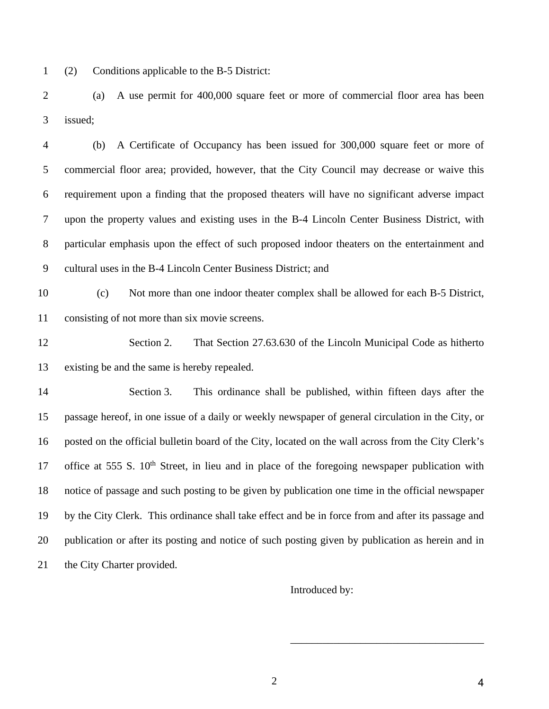1 (2) Conditions applicable to the B-5 District:

2 (a) A use permit for 400,000 square feet or more of commercial floor area has been 3 issued;

4 (b) A Certificate of Occupancy has been issued for 300,000 square feet or more of 5 commercial floor area; provided, however, that the City Council may decrease or waive this 6 requirement upon a finding that the proposed theaters will have no significant adverse impact 7 upon the property values and existing uses in the B-4 Lincoln Center Business District, with 8 particular emphasis upon the effect of such proposed indoor theaters on the entertainment and 9 cultural uses in the B-4 Lincoln Center Business District; and

10 (c) Not more than one indoor theater complex shall be allowed for each B-5 District, 11 consisting of not more than six movie screens.

12 Section 2. That Section 27.63.630 of the Lincoln Municipal Code as hitherto 13 existing be and the same is hereby repealed.

14 Section 3. This ordinance shall be published, within fifteen days after the 15 passage hereof, in one issue of a daily or weekly newspaper of general circulation in the City, or 16 posted on the official bulletin board of the City, located on the wall across from the City Clerk's 17 office at 555 S.  $10<sup>th</sup>$  Street, in lieu and in place of the foregoing newspaper publication with 18 notice of passage and such posting to be given by publication one time in the official newspaper 19 by the City Clerk. This ordinance shall take effect and be in force from and after its passage and 20 publication or after its posting and notice of such posting given by publication as herein and in 21 the City Charter provided.

Introduced by:

 $\overline{\phantom{a}}$  , which is a set of the set of the set of the set of the set of the set of the set of the set of the set of the set of the set of the set of the set of the set of the set of the set of the set of the set of th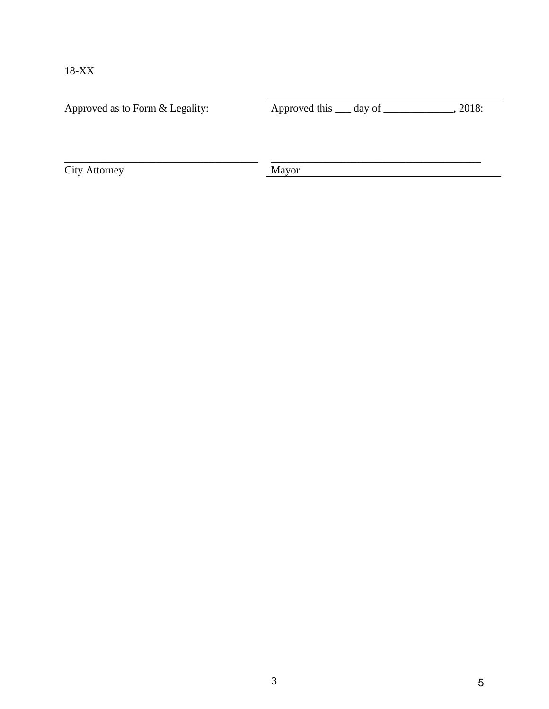18-XX

| Approved as to Form & Legality: | Approved this $\_\_\_$ day of $\_\$ | 2018: |
|---------------------------------|-------------------------------------|-------|
|                                 |                                     |       |
|                                 |                                     |       |
|                                 |                                     |       |
| <b>City Attorney</b>            | Mayor                               |       |
|                                 |                                     |       |